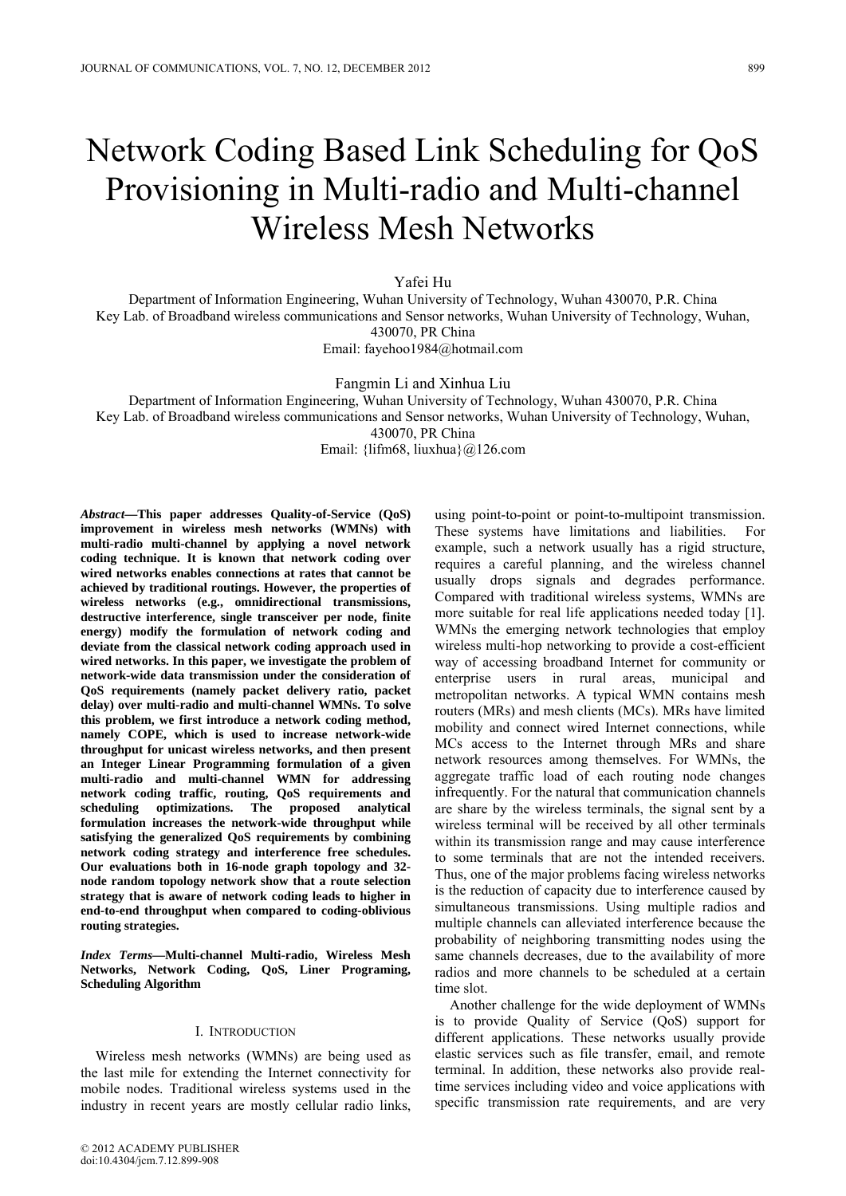# Network Coding Based Link Scheduling for QoS Provisioning in Multi-radio and Multi-channel Wireless Mesh Networks

Yafei Hu

Department of Information Engineering, Wuhan University of Technology, Wuhan 430070, P.R. China Key Lab. of Broadband wireless communications and Sensor networks, Wuhan University of Technology, Wuhan, 430070, PR China

Email: fayehoo1984@hotmail.com

Fangmin Li and Xinhua Liu

Department of Information Engineering, Wuhan University of Technology, Wuhan 430070, P.R. China

Key Lab. of Broadband wireless communications and Sensor networks, Wuhan University of Technology, Wuhan, 430070, PR China

Email: {lifm68, liuxhua}@126.com

*Abstract***—This paper addresses Quality-of-Service (QoS) improvement in wireless mesh networks (WMNs) with multi-radio multi-channel by applying a novel network coding technique. It is known that network coding over wired networks enables connections at rates that cannot be achieved by traditional routings. However, the properties of wireless networks (e.g., omnidirectional transmissions, destructive interference, single transceiver per node, finite energy) modify the formulation of network coding and deviate from the classical network coding approach used in wired networks. In this paper, we investigate the problem of network-wide data transmission under the consideration of QoS requirements (namely packet delivery ratio, packet delay) over multi-radio and multi-channel WMNs. To solve this problem, we first introduce a network coding method, namely COPE, which is used to increase network-wide throughput for unicast wireless networks, and then present an Integer Linear Programming formulation of a given multi-radio and multi-channel WMN for addressing network coding traffic, routing, QoS requirements and scheduling optimizations. The proposed analytical formulation increases the network-wide throughput while satisfying the generalized QoS requirements by combining network coding strategy and interference free schedules. Our evaluations both in 16-node graph topology and 32 node random topology network show that a route selection strategy that is aware of network coding leads to higher in end-to-end throughput when compared to coding-oblivious routing strategies.** 

*Index Terms***—Multi-channel Multi-radio, Wireless Mesh Networks, Network Coding, QoS, Liner Programing, Scheduling Algorithm** 

## I. INTRODUCTION

Wireless mesh networks (WMNs) are being used as the last mile for extending the Internet connectivity for mobile nodes. Traditional wireless systems used in the industry in recent years are mostly cellular radio links, using point-to-point or point-to-multipoint transmission. These systems have limitations and liabilities. For example, such a network usually has a rigid structure, requires a careful planning, and the wireless channel usually drops signals and degrades performance. Compared with traditional wireless systems, WMNs are more suitable for real life applications needed today [1]. WMNs the emerging network technologies that employ wireless multi-hop networking to provide a cost-efficient way of accessing broadband Internet for community or enterprise users in rural areas, municipal and metropolitan networks. A typical WMN contains mesh routers (MRs) and mesh clients (MCs). MRs have limited mobility and connect wired Internet connections, while MCs access to the Internet through MRs and share network resources among themselves. For WMNs, the aggregate traffic load of each routing node changes infrequently. For the natural that communication channels are share by the wireless terminals, the signal sent by a wireless terminal will be received by all other terminals within its transmission range and may cause interference to some terminals that are not the intended receivers. Thus, one of the major problems facing wireless networks is the reduction of capacity due to interference caused by simultaneous transmissions. Using multiple radios and multiple channels can alleviated interference because the probability of neighboring transmitting nodes using the same channels decreases, due to the availability of more radios and more channels to be scheduled at a certain time slot.

Another challenge for the wide deployment of WMNs is to provide Quality of Service (QoS) support for different applications. These networks usually provide elastic services such as file transfer, email, and remote terminal. In addition, these networks also provide realtime services including video and voice applications with specific transmission rate requirements, and are very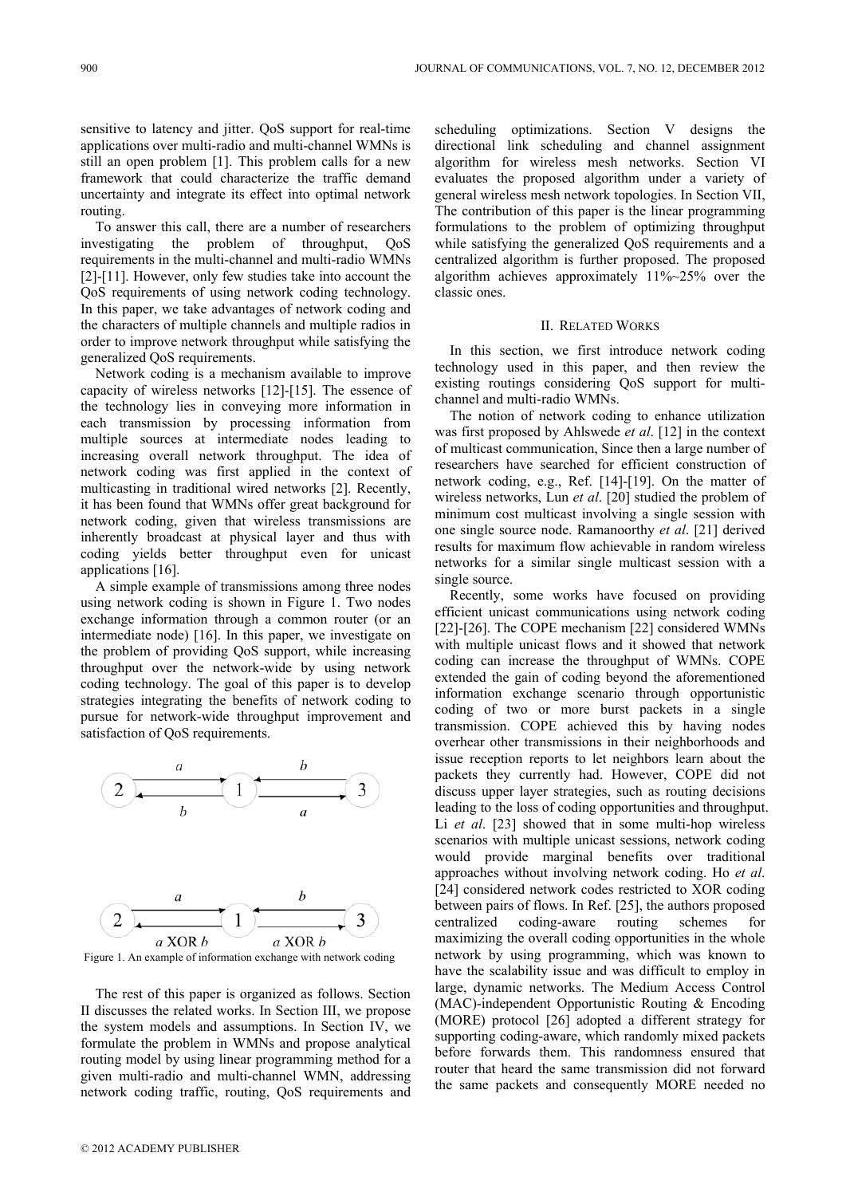sensitive to latency and jitter. QoS support for real-time applications over multi-radio and multi-channel WMNs is still an open problem [1]. This problem calls for a new framework that could characterize the traffic demand uncertainty and integrate its effect into optimal network routing.

To answer this call, there are a number of researchers investigating the problem of throughput, QoS requirements in the multi-channel and multi-radio WMNs [2]-[11]. However, only few studies take into account the QoS requirements of using network coding technology. In this paper, we take advantages of network coding and the characters of multiple channels and multiple radios in order to improve network throughput while satisfying the generalized QoS requirements.

Network coding is a mechanism available to improve capacity of wireless networks [12]-[15]. The essence of the technology lies in conveying more information in each transmission by processing information from multiple sources at intermediate nodes leading to increasing overall network throughput. The idea of network coding was first applied in the context of multicasting in traditional wired networks [2]. Recently, it has been found that WMNs offer great background for network coding, given that wireless transmissions are inherently broadcast at physical layer and thus with coding yields better throughput even for unicast applications [16].

A simple example of transmissions among three nodes using network coding is shown in Figure 1. Two nodes exchange information through a common router (or an intermediate node) [16]. In this paper, we investigate on the problem of providing QoS support, while increasing throughput over the network-wide by using network coding technology. The goal of this paper is to develop strategies integrating the benefits of network coding to pursue for network-wide throughput improvement and satisfaction of QoS requirements.



Figure 1. An example of information exchange with network coding

The rest of this paper is organized as follows. Section II discusses the related works. In Section III, we propose the system models and assumptions. In Section IV, we formulate the problem in WMNs and propose analytical routing model by using linear programming method for a given multi-radio and multi-channel WMN, addressing network coding traffic, routing, QoS requirements and

scheduling optimizations. Section V designs the directional link scheduling and channel assignment algorithm for wireless mesh networks. Section VI evaluates the proposed algorithm under a variety of general wireless mesh network topologies. In Section VII, The contribution of this paper is the linear programming formulations to the problem of optimizing throughput while satisfying the generalized QoS requirements and a centralized algorithm is further proposed. The proposed algorithm achieves approximately 11%~25% over the classic ones.

# II. RELATED WORKS

In this section, we first introduce network coding technology used in this paper, and then review the existing routings considering QoS support for multichannel and multi-radio WMNs.

The notion of network coding to enhance utilization was first proposed by Ahlswede *et al*. [12] in the context of multicast communication, Since then a large number of researchers have searched for efficient construction of network coding, e.g., Ref. [14]-[19]. On the matter of wireless networks, Lun *et al*. [20] studied the problem of minimum cost multicast involving a single session with one single source node. Ramanoorthy *et al*. [21] derived results for maximum flow achievable in random wireless networks for a similar single multicast session with a single source.

Recently, some works have focused on providing efficient unicast communications using network coding [22]-[26]. The COPE mechanism [22] considered WMNs with multiple unicast flows and it showed that network coding can increase the throughput of WMNs. COPE extended the gain of coding beyond the aforementioned information exchange scenario through opportunistic coding of two or more burst packets in a single transmission. COPE achieved this by having nodes overhear other transmissions in their neighborhoods and issue reception reports to let neighbors learn about the packets they currently had. However, COPE did not discuss upper layer strategies, such as routing decisions leading to the loss of coding opportunities and throughput. Li *et al.* [23] showed that in some multi-hop wireless scenarios with multiple unicast sessions, network coding would provide marginal benefits over traditional approaches without involving network coding. Ho *et al*. [24] considered network codes restricted to XOR coding between pairs of flows. In Ref. [25], the authors proposed centralized coding-aware routing schemes for maximizing the overall coding opportunities in the whole network by using programming, which was known to have the scalability issue and was difficult to employ in large, dynamic networks. The Medium Access Control (MAC)-independent Opportunistic Routing & Encoding (MORE) protocol [26] adopted a different strategy for supporting coding-aware, which randomly mixed packets before forwards them. This randomness ensured that router that heard the same transmission did not forward the same packets and consequently MORE needed no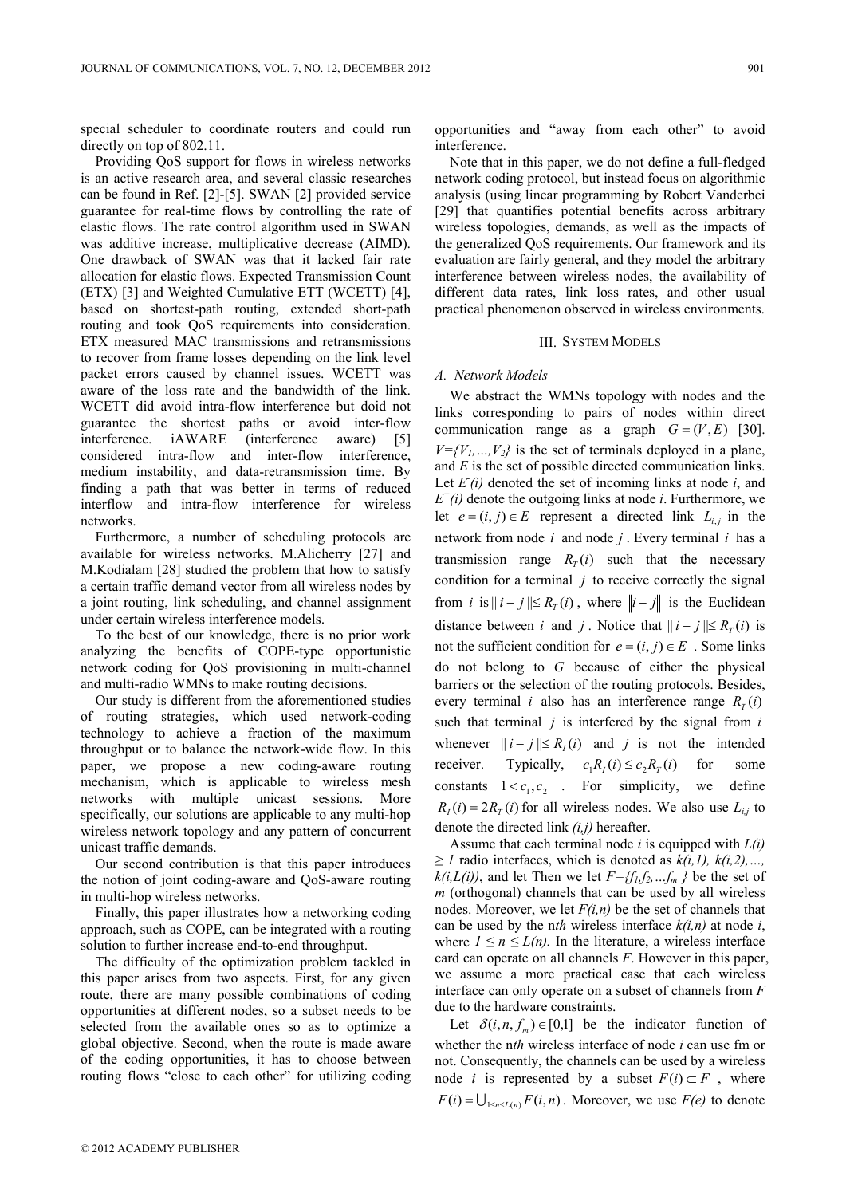special scheduler to coordinate routers and could run directly on top of 802.11.

Providing QoS support for flows in wireless networks is an active research area, and several classic researches can be found in Ref. [2]-[5]. SWAN [2] provided service guarantee for real-time flows by controlling the rate of elastic flows. The rate control algorithm used in SWAN was additive increase, multiplicative decrease (AIMD). One drawback of SWAN was that it lacked fair rate allocation for elastic flows. Expected Transmission Count (ETX) [3] and Weighted Cumulative ETT (WCETT) [4], based on shortest-path routing, extended short-path routing and took QoS requirements into consideration. ETX measured MAC transmissions and retransmissions to recover from frame losses depending on the link level packet errors caused by channel issues. WCETT was aware of the loss rate and the bandwidth of the link. WCETT did avoid intra-flow interference but doid not guarantee the shortest paths or avoid inter-flow interference. iAWARE (interference aware) [5] considered intra-flow and inter-flow interference, medium instability, and data-retransmission time. By finding a path that was better in terms of reduced interflow and intra-flow interference for wireless networks.

Furthermore, a number of scheduling protocols are available for wireless networks. M.Alicherry [27] and M.Kodialam [28] studied the problem that how to satisfy a certain traffic demand vector from all wireless nodes by a joint routing, link scheduling, and channel assignment under certain wireless interference models.

To the best of our knowledge, there is no prior work analyzing the benefits of COPE-type opportunistic network coding for QoS provisioning in multi-channel and multi-radio WMNs to make routing decisions.

Our study is different from the aforementioned studies of routing strategies, which used network-coding technology to achieve a fraction of the maximum throughput or to balance the network-wide flow. In this paper, we propose a new coding-aware routing mechanism, which is applicable to wireless mesh networks with multiple unicast sessions. More specifically, our solutions are applicable to any multi-hop wireless network topology and any pattern of concurrent unicast traffic demands.

Our second contribution is that this paper introduces the notion of joint coding-aware and QoS-aware routing in multi-hop wireless networks.

Finally, this paper illustrates how a networking coding approach, such as COPE, can be integrated with a routing solution to further increase end-to-end throughput.

The difficulty of the optimization problem tackled in this paper arises from two aspects. First, for any given route, there are many possible combinations of coding opportunities at different nodes, so a subset needs to be selected from the available ones so as to optimize a global objective. Second, when the route is made aware of the coding opportunities, it has to choose between routing flows "close to each other" for utilizing coding opportunities and "away from each other" to avoid interference.

Note that in this paper, we do not define a full-fledged network coding protocol, but instead focus on algorithmic analysis (using linear programming by Robert Vanderbei [29] that quantifies potential benefits across arbitrary wireless topologies, demands, as well as the impacts of the generalized QoS requirements. Our framework and its evaluation are fairly general, and they model the arbitrary interference between wireless nodes, the availability of different data rates, link loss rates, and other usual practical phenomenon observed in wireless environments.

## III. SYSTEM MODELS

#### *A. Network Models*

We abstract the WMNs topology with nodes and the links corresponding to pairs of nodes within direct communication range as a graph  $G = (V, E)$  [30].  $V = \{V_1, ..., V_2\}$  is the set of terminals deployed in a plane, and *E* is the set of possible directed communication links. Let  $E(i)$  denoted the set of incoming links at node  $i$ , and  $E^+(i)$  denote the outgoing links at node *i*. Furthermore, we let *e* =  $(i, j) ∈ E$  represent a directed link  $L_{i,j}$  in the network from node *i* and node *j* . Every terminal *i* has a transmission range  $R<sub>T</sub>(i)$  such that the necessary condition for a terminal  $j$  to receive correctly the signal from *i* is  $||i - j|| \le R_T(i)$ , where  $||i - j||$  is the Euclidean distance between *i* and *j*. Notice that  $||i - j|| \le R_T(i)$  is not the sufficient condition for  $e = (i, j) \in E$ . Some links do not belong to *G* because of either the physical barriers or the selection of the routing protocols. Besides, every terminal *i* also has an interference range  $R_T(i)$ such that terminal *j* is interfered by the signal from *i* whenever  $|| i - j || \le R_i(i)$  and *j* is not the intended receiver. Typically,  $c_1 R_i(i) \le c_2 R_i(i)$  for some constants  $1 < c_1, c_2$ . For simplicity, we define  $R_i(i) = 2R_i(i)$  for all wireless nodes. We also use  $L_{i,j}$  to denote the directed link *(i,j)* hereafter.

Assume that each terminal node *i* is equipped with *L(i) ≥ 1* radio interfaces, which is denoted as  $k(i, 1)$ ,  $k(i, 2)$ , ...,  $k(i, L(i))$ , and let Then we let  $F = \{f_1, f_2, \ldots, f_m\}$  be the set of *m* (orthogonal) channels that can be used by all wireless nodes. Moreover, we let *F(i,n)* be the set of channels that can be used by the n*th* wireless interface *k(i,n)* at node *i*, where  $1 \le n \le L(n)$ . In the literature, a wireless interface card can operate on all channels *F*. However in this paper, we assume a more practical case that each wireless interface can only operate on a subset of channels from *F* due to the hardware constraints.

Let  $\delta (i, n, f_m) \in [0,1]$  be the indicator function of whether the n*th* wireless interface of node *i* can use fm or not. Consequently, the channels can be used by a wireless node *i* is represented by a subset  $F(i) \subset F$ , where  $F(i) = \bigcup_{1 \leq n \leq L(n)} F(i, n)$ . Moreover, we use  $F(e)$  to denote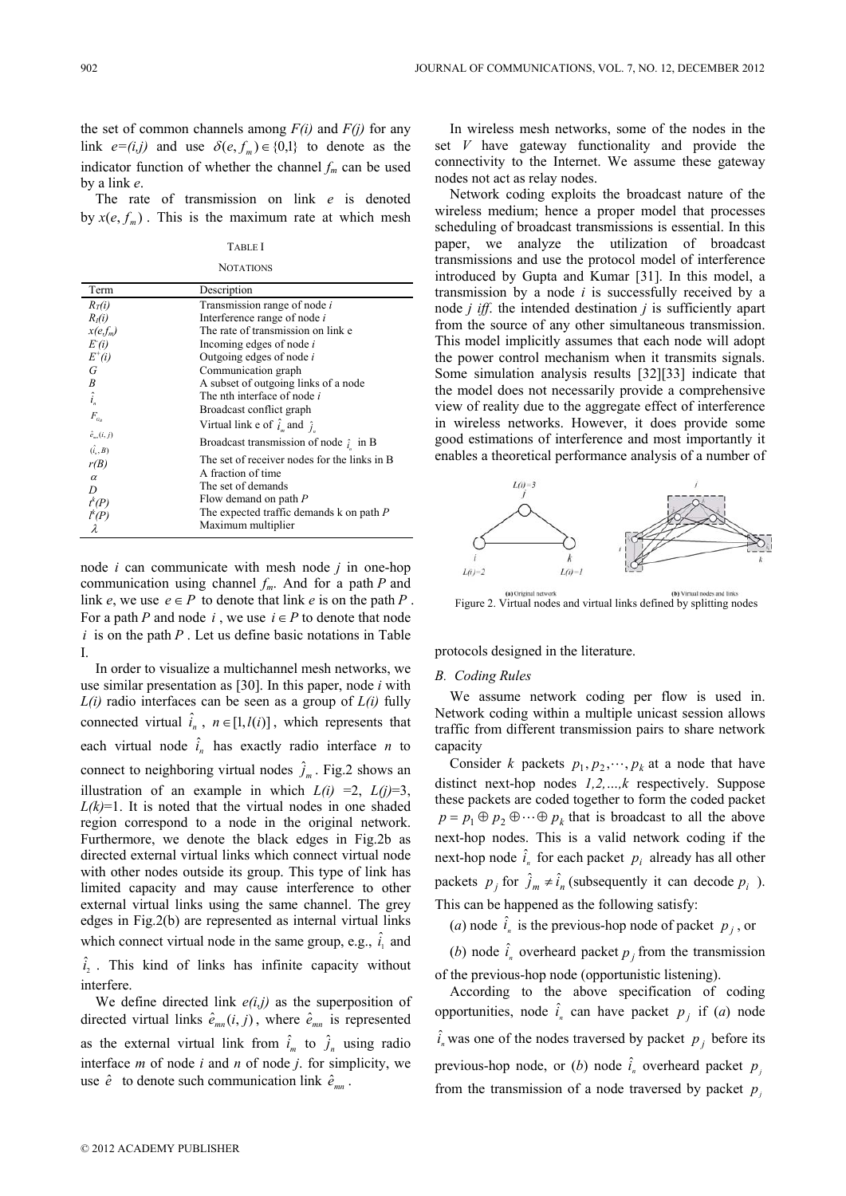the set of common channels among  $F(i)$  and  $F(j)$  for any link  $e=(i,j)$  and use  $\delta(e, f_m) \in \{0,1\}$  to denote as the indicator function of whether the channel  $f_m$  can be used by a link *e*.

The rate of transmission on link *e* is denoted by  $x(e, f_m)$ . This is the maximum rate at which mesh

TABLE I **NOTATIONS** 

| Term                                    | Description                                   |
|-----------------------------------------|-----------------------------------------------|
| $R_T(i)$                                | Transmission range of node i                  |
| $R_i(i)$                                | Interference range of node i                  |
| $x(e,f_m)$                              | The rate of transmission on link e            |
| E(i)                                    | Incoming edges of node i                      |
| $E^+(i)$                                | Outgoing edges of node $i$                    |
| G                                       | Communication graph                           |
|                                         | A subset of outgoing links of a node          |
| $B_{\hat{i}_n}$                         | The nth interface of node i                   |
| $F_{G_{R}}$                             | Broadcast conflict graph                      |
|                                         | Virtual link e of $\hat{i}_m$ and $\hat{j}_m$ |
| $\hat{e}_{m}(i, j)$<br>$(\hat{i}_s, B)$ | Broadcast transmission of node $\hat{i}$ in B |
| r(B)                                    | The set of receiver nodes for the links in B  |
| $\alpha$                                | A fraction of time                            |
| D                                       | The set of demands                            |
|                                         | Flow demand on path P                         |
| $\bar{t}^k(P)$<br>$\bar{l}^k(P)$        | The expected traffic demands $k$ on path $P$  |
|                                         | Maximum multiplier                            |

node *i* can communicate with mesh node *j* in one-hop communication using channel *fm*. And for a path *P* and link *e*, we use  $e \in P$  to denote that link *e* is on the path *P*. For a path *P* and node *i*, we use  $i \in P$  to denote that node  $i$  is on the path  $P$ . Let us define basic notations in Table I.

In order to visualize a multichannel mesh networks, we use similar presentation as [30]. In this paper, node *i* with *L(i)* radio interfaces can be seen as a group of *L(i)* fully connected virtual  $\hat{i}_n$ ,  $n \in [1, l(i)]$ , which represents that each virtual node  $\hat{i}_n$  has exactly radio interface *n* to connect to neighboring virtual nodes  $\hat{j}_m$ . Fig.2 shows an illustration of an example in which  $L(i) =2$ ,  $L(i)=3$ ,  $L(k)=1$ . It is noted that the virtual nodes in one shaded region correspond to a node in the original network. Furthermore, we denote the black edges in Fig.2b as directed external virtual links which connect virtual node with other nodes outside its group. This type of link has limited capacity and may cause interference to other external virtual links using the same channel. The grey edges in Fig.2(b) are represented as internal virtual links which connect virtual node in the same group, e.g.,  $\hat{i}_1$  and  $\hat{i}_2$ . This kind of links has infinite capacity without interfere.

We define directed link  $e(i,j)$  as the superposition of directed virtual links  $\hat{e}_{mn}(i, j)$ , where  $\hat{e}_{mn}$  is represented as the external virtual link from  $\hat{i}_m$  to  $\hat{j}_n$  using radio interface *m* of node *i* and *n* of node *j*. for simplicity, we use  $\hat{e}$  to denote such communication link  $\hat{e}_{mn}$ .

In wireless mesh networks, some of the nodes in the set *V* have gateway functionality and provide the connectivity to the Internet. We assume these gateway nodes not act as relay nodes.

Network coding exploits the broadcast nature of the wireless medium; hence a proper model that processes scheduling of broadcast transmissions is essential. In this paper, we analyze the utilization of broadcast transmissions and use the protocol model of interference introduced by Gupta and Kumar [31]. In this model, a transmission by a node *i* is successfully received by a node *j iff*. the intended destination *j* is sufficiently apart from the source of any other simultaneous transmission. This model implicitly assumes that each node will adopt the power control mechanism when it transmits signals. Some simulation analysis results [32][33] indicate that the model does not necessarily provide a comprehensive view of reality due to the aggregate effect of interference in wireless networks. However, it does provide some good estimations of interference and most importantly it enables a theoretical performance analysis of a number of



Figure 2. Virtual nodes and virtual links defined by splitting nodes

protocols designed in the literature.

## *B. Coding Rules*

We assume network coding per flow is used in. Network coding within a multiple unicast session allows traffic from different transmission pairs to share network capacity

Consider *k* packets  $p_1, p_2, \dots, p_k$  at a node that have distinct next-hop nodes *1,2,…,k* respectively. Suppose these packets are coded together to form the coded packet  $p = p_1 \oplus p_2 \oplus \cdots \oplus p_k$  that is broadcast to all the above next-hop nodes. This is a valid network coding if the next-hop node  $\hat{i}_n$  for each packet  $p_i$  already has all other packets  $p_i$  for  $\hat{j}_m \neq \hat{i}_n$  (subsequently it can decode  $p_i$ ). This can be happened as the following satisfy:

(*a*) node  $\hat{i}_n$  is the previous-hop node of packet  $p_j$ , or

(*b*) node  $\hat{i}_n$  overheard packet  $p_j$  from the transmission of the previous-hop node (opportunistic listening).

According to the above specification of coding opportunities, node  $\hat{i}_n$  can have packet  $p_j$  if (*a*) node  $\hat{i}_n$  was one of the nodes traversed by packet  $p_j$  before its previous-hop node, or (*b*) node  $\hat{i}_n$  overheard packet  $p$ from the transmission of a node traversed by packet  $p_i$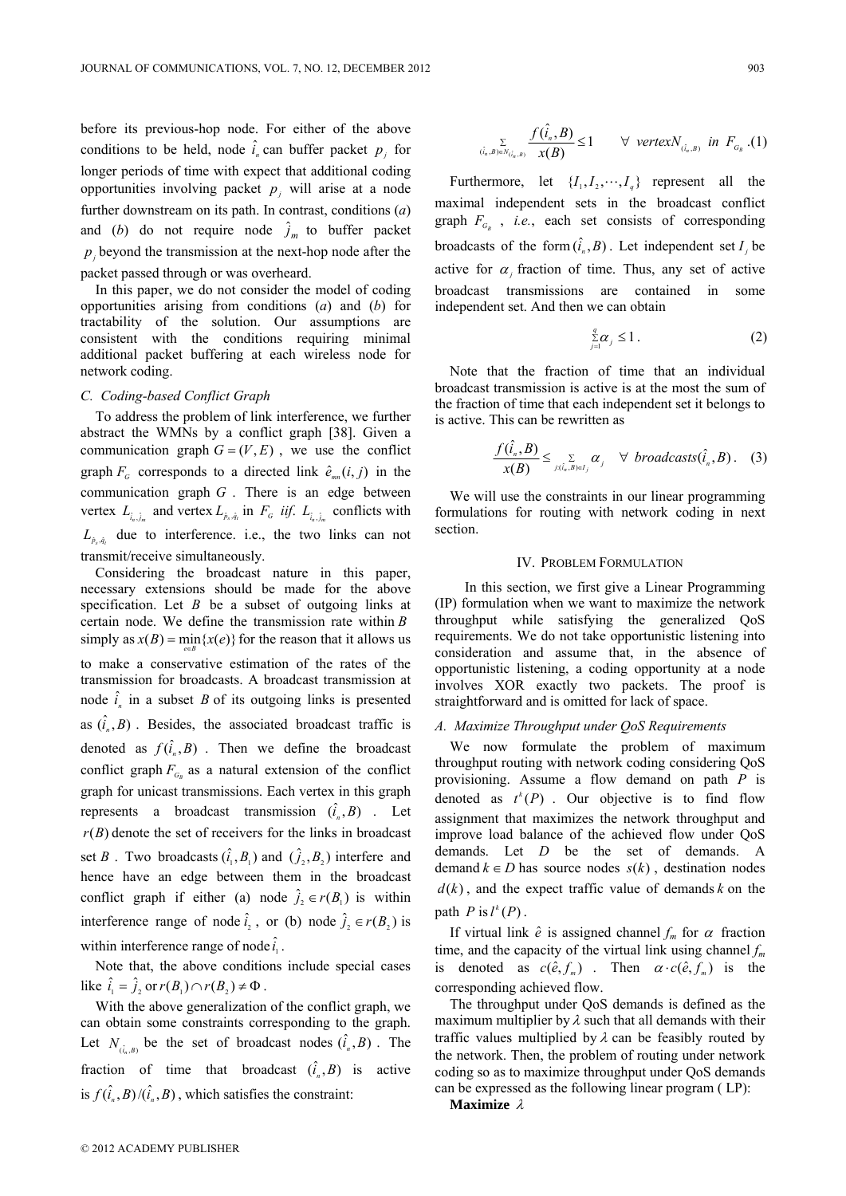before its previous-hop node. For either of the above conditions to be held, node  $\hat{i}_n$  can buffer packet  $p_j$  for longer periods of time with expect that additional coding opportunities involving packet  $p_i$  will arise at a node further downstream on its path. In contrast, conditions (*a*) and (*b*) do not require node  $\hat{j}_m$  to buffer packet  $p_j$  beyond the transmission at the next-hop node after the packet passed through or was overheard.

In this paper, we do not consider the model of coding opportunities arising from conditions (*a*) and (*b*) for tractability of the solution. Our assumptions are consistent with the conditions requiring minimal additional packet buffering at each wireless node for network coding.

# *C. Coding-based Conflict Graph*

To address the problem of link interference, we further abstract the WMNs by a conflict graph [38]. Given a communication graph  $G = (V, E)$ , we use the conflict graph  $F_G$  corresponds to a directed link  $\hat{e}_{mn}(i, j)$  in the communication graph *G* . There is an edge between vertex  $L_{\hat{i}_n, \hat{j}_m}$  and vertex  $L_{\hat{p}_s, \hat{q}_t}$  in  $F_{\hat{G}}$  *iif.*  $L_{\hat{i}_n, \hat{j}_m}$  conflicts with  $L_{\hat{p}_s, \hat{q}_t}$  due to interference. i.e., the two links can not transmit/receive simultaneously.

Considering the broadcast nature in this paper, necessary extensions should be made for the above specification. Let *B* be a subset of outgoing links at certain node. We define the transmission rate within *B* simply as  $x(B) = \min\{x(e)\}$  for the reason that it allows us to make a conservative estimation of the rates of the transmission for broadcasts. A broadcast transmission at node  $\hat{i}_n$  in a subset *B* of its outgoing links is presented as  $(\hat{i}, B)$ . Besides, the associated broadcast traffic is denoted as  $f(\hat{i}_n, B)$ . Then we define the broadcast conflict graph  $F_{a}$  as a natural extension of the conflict graph for unicast transmissions. Each vertex in this graph represents a broadcast transmission  $(\hat{i}_n, B)$ . Let  $r(B)$  denote the set of receivers for the links in broadcast set *B* . Two broadcasts  $(\hat{i}_1, B_1)$  and  $(\hat{j}_2, B_2)$  interfere and hence have an edge between them in the broadcast conflict graph if either (a) node  $\hat{j}_2 \in r(B_1)$  is within interference range of node  $\hat{i}_2$ , or (b) node  $\hat{j}_2 \in r(B_2)$  is within interference range of node  $\hat{i}_i$ .

Note that, the above conditions include special cases like  $\hat{i}_1 = \hat{j}_2$  or  $r(B_1) \cap r(B_2) \neq \Phi$ .

With the above generalization of the conflict graph, we can obtain some constraints corresponding to the graph. Let  $N_{(\hat{i}_n, B)}$  be the set of broadcast nodes  $(\hat{i}_n, B)$ . The fraction of time that broadcast  $(\hat{i}_n, B)$  is active is  $f(\hat{i}_n, B)/(\hat{i}_n, B)$ , which satisfies the constraint:

$$
\sum_{(\hat{i}_n,B)\in N_{(\hat{i}_n,B)}}\frac{f(\hat{i}_n,B)}{x(B)}\leq 1 \qquad \forall \ \ \text{vertex } N_{(\hat{i}_n,B)} \ \ \text{in} \ \ F_{G_B} \ (1)
$$

Furthermore, let  $\{I_1, I_2, \dots, I_q\}$  represent all the maximal independent sets in the broadcast conflict graph  $F_{G_B}$ , *i.e.*, each set consists of corresponding broadcasts of the form  $(\hat{i}_n, B)$ . Let independent set  $I_i$  be active for  $\alpha_i$  fraction of time. Thus, any set of active broadcast transmissions are contained in some independent set. And then we can obtain

$$
\sum_{j=1}^{q} \alpha_j \leq 1. \tag{2}
$$

Note that the fraction of time that an individual broadcast transmission is active is at the most the sum of the fraction of time that each independent set it belongs to is active. This can be rewritten as

$$
\frac{f(\hat{i}_n, B)}{x(B)} \leq \sum_{j:(\hat{i}_n, B) \in I_j} \alpha_j \quad \forall \; broadcasts(\hat{i}_n, B). \quad (3)
$$

We will use the constraints in our linear programming formulations for routing with network coding in next section.

## IV. PROBLEM FORMULATION

In this section, we first give a Linear Programming (IP) formulation when we want to maximize the network throughput while satisfying the generalized QoS requirements. We do not take opportunistic listening into consideration and assume that, in the absence of opportunistic listening, a coding opportunity at a node involves XOR exactly two packets. The proof is straightforward and is omitted for lack of space.

## *A. Maximize Throughput under QoS Requirements*

We now formulate the problem of maximum throughput routing with network coding considering QoS provisioning. Assume a flow demand on path *P* is denoted as  $t^k(P)$ . Our objective is to find flow assignment that maximizes the network throughput and improve load balance of the achieved flow under QoS demands. Let *D* be the set of demands. A demand  $k$  ∈ *D* has source nodes  $s(k)$ , destination nodes  $d(k)$ , and the expect traffic value of demands *k* on the path  $P$  is  $l^{k}(P)$ .

If virtual link  $\hat{e}$  is assigned channel  $f_m$  for  $\alpha$  fraction time, and the capacity of the virtual link using channel *fm* is denoted as  $c(\hat{e}, f_m)$ . Then  $\alpha \cdot c(\hat{e}, f_m)$  is the corresponding achieved flow.

The throughput under QoS demands is defined as the maximum multiplier by  $\lambda$  such that all demands with their traffic values multiplied by  $\lambda$  can be feasibly routed by the network. Then, the problem of routing under network coding so as to maximize throughput under QoS demands can be expressed as the following linear program ( LP):

**Maximize** λ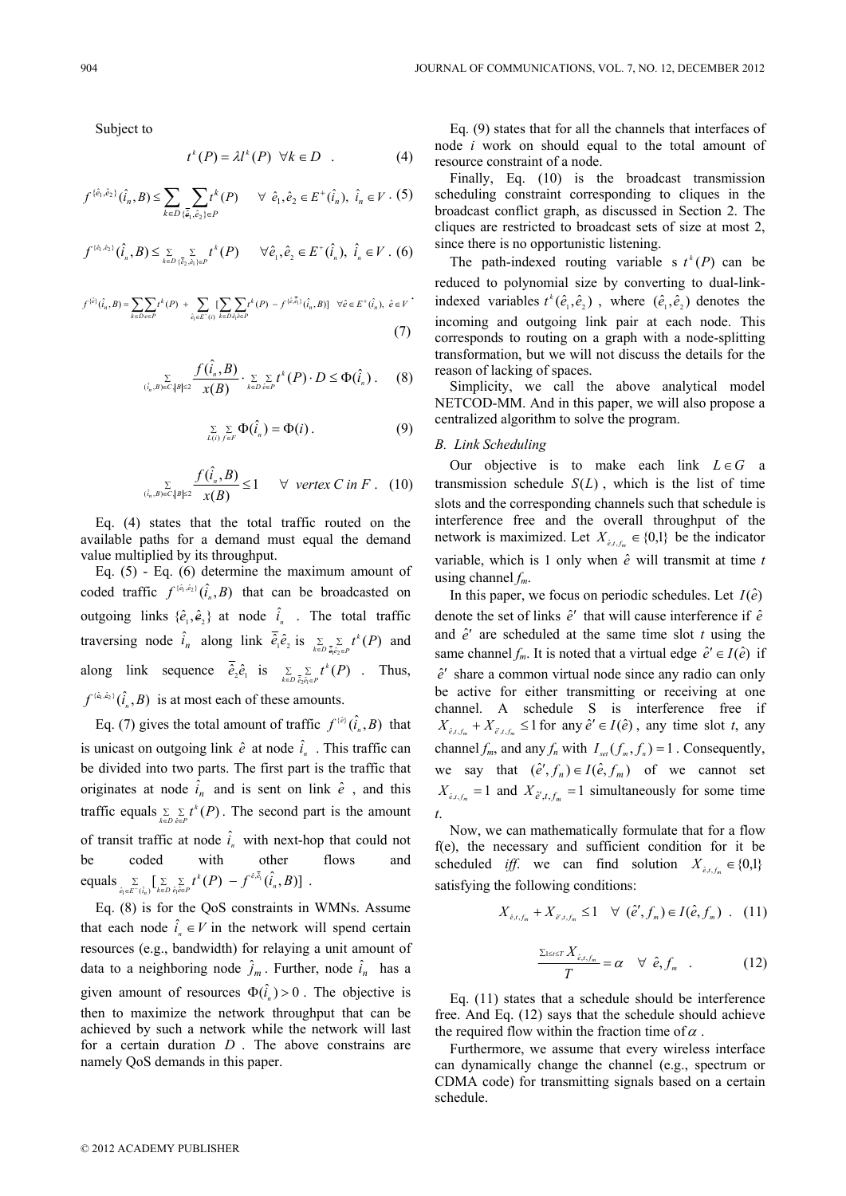Subject to

$$
t^k(P) = \lambda l^k(P) \quad \forall k \in D \quad . \tag{4}
$$

$$
f^{(\hat{e}_1, \hat{e}_2)}(\hat{i}_n, B) \le \sum_{k \in D} \sum_{\{\bar{e}_1, \hat{e}_2\} \in P} t^k(P) \quad \forall \ \hat{e}_1, \hat{e}_2 \in E^+(\hat{i}_n), \ \hat{i}_n \in V. (5)
$$

$$
f^{(\hat{e}_1, \hat{e}_2)}(\hat{i}_n, B) \leq \sum_{k \in D} \sum_{\{\hat{e}_2, \hat{e}_1\} \in P} t^k(P) \qquad \forall \hat{e}_1, \hat{e}_2 \in E^+(\hat{i}_n), \ \hat{i}_n \in V. (6)
$$

$$
f^{(\hat{e})}(\hat{i}_n, B) = \sum_{k \in D} \sum_{e \in P} t^k(P) + \sum_{\hat{e}_i \in E^-(i)} \sum_{k \in D} \sum_{\hat{e}_i \hat{e} \in P} t^k(P) - f^{(\hat{e}, \overline{\hat{e}}_i)}(\hat{i}_n, B) \quad \forall \hat{e} \in E^+(\hat{i}_n), \ \hat{e} \in V
$$
\n
$$
(7)
$$

$$
\sum_{(\hat{i}_n,B)\in C,|B|\leq 2}\frac{f(\hat{i}_n,B)}{x(B)}\cdot \sum_{k\in D}\sum_{\hat{e}\in P}t^k(P)\cdot D\leq \Phi(\hat{i}_n).
$$
 (8)

$$
\sum_{L(i) f \in F} \sum_{f \in F} \Phi(\hat{i}_n) = \Phi(i).
$$
 (9)

$$
\sum_{(\hat{i}_n,B)\in C,|B|\leq 2}\frac{f(\hat{i}_n,B)}{x(B)}\leq 1 \qquad \forall \quad \text{vertex } C \text{ in } F. \quad (10)
$$

Eq. (4) states that the total traffic routed on the available paths for a demand must equal the demand value multiplied by its throughput.

Eq.  $(5)$  - Eq.  $(6)$  determine the maximum amount of coded traffic  $f^{(\hat{e}_1, \hat{e}_2)}(\hat{i}_1, B)$  that can be broadcasted on outgoing links  $\{\hat{e}_1, \hat{e}_2\}$  at node  $\hat{i}_n$ . The total traffic traversing node  $\hat{i}_n$  along link  $\overline{\hat{e}}_1 \hat{e}_2$  is  $\sum_{k \in D} \sum_{\tilde{\theta}_1 \hat{e}_2 \in P} t^k(P)$  $t^k(P)$  and along link sequence  $\hat{e}_2 \hat{e}_1$  is  $\sum_{k \in D} \sum_{\tilde{e}_2 \hat{e}_1 \in P} t^k(P)$  $t^k(P)$  . Thus,  $f^{(\hat{e}_1, \hat{e}_2)}(\hat{i}_n, B)$  is at most each of these amounts.

Eq. (7) gives the total amount of traffic  $f^{(\hat{e})}(\hat{i}_n, B)$  that is unicast on outgoing link  $\hat{e}$  at node  $\hat{i}_n$ . This traffic can be divided into two parts. The first part is the traffic that originates at node  $\hat{i}_n$  and is sent on link  $\hat{e}$ , and this traffic equals  $\sum_{k \in D} \sum_{\hat{e} \in P} t^k(P)$  $t^{k}(P)$ . The second part is the amount of transit traffic at node  $\hat{i}_n$  with next-hop that could not be coded with other flows and equals  $\sum\limits_{\hat{e}_1\in E^-(\hat{i}_n)}[\sum\limits_{k\in D}\sum\limits_{\hat{e}_1\hat{e}\in P}t^k(P)-f^{\hat{e},\bar{\hat{e}}_1}(\hat{i}_n,B)]$  $\sum_{\hat{e}_1\in E^-(\hat{i}_n)}\bigl[\sum\limits_{k\in D}\sum\limits_{\hat{e}_1\hat{e}\in P}t^k(P)\ -f^{\hat{e},\hat{e}_1}(\hat{i}_n,B)$ *k*  $\sum\limits_{\in E^-(\hat{i}_n)}\left[\sum\limits_{k\in D}\sum\limits_{\hat{e}_l\hat{e}\in P}t^k(P)-f^{\hat{e},\hat{e}_1}(\hat{i}_n,B)\right]$ .

Eq. (8) is for the QoS constraints in WMNs. Assume that each node  $\hat{i}_n \in V$  in the network will spend certain resources (e.g., bandwidth) for relaying a unit amount of data to a neighboring node  $\hat{j}_m$ . Further, node  $\hat{i}_n$  has a given amount of resources  $\Phi(\hat{i}_n) > 0$ . The objective is then to maximize the network throughput that can be achieved by such a network while the network will last for a certain duration *D* . The above constrains are namely QoS demands in this paper.

Eq. (9) states that for all the channels that interfaces of node *i* work on should equal to the total amount of resource constraint of a node.

Finally, Eq. (10) is the broadcast transmission scheduling constraint corresponding to cliques in the broadcast conflict graph, as discussed in Section 2. The cliques are restricted to broadcast sets of size at most 2, since there is no opportunistic listening.

The path-indexed routing variable s  $t^*(P)$  can be reduced to polynomial size by converting to dual-linkindexed variables  $t^k(\hat{e}_1, \hat{e}_2)$ , where  $(\hat{e}_1, \hat{e}_2)$  denotes the incoming and outgoing link pair at each node. This corresponds to routing on a graph with a node-splitting transformation, but we will not discuss the details for the reason of lacking of spaces.

Simplicity, we call the above analytical model NETCOD-MM. And in this paper, we will also propose a centralized algorithm to solve the program.

## *B. Link Scheduling*

Our objective is to make each link *L*∈*G* a transmission schedule  $S(L)$ , which is the list of time slots and the corresponding channels such that schedule is interference free and the overall throughput of the network is maximized. Let  $X_{\hat{e}, t, t_{\hat{e}}} \in \{0,1\}$  be the indicator variable, which is 1 only when  $\hat{e}$  will transmit at time *t* using channel *fm*.

In this paper, we focus on periodic schedules. Let  $I(\hat{e})$ denote the set of links  $\hat{e}^{\prime}$  that will cause interference if  $\hat{e}$ and  $\hat{e}^{\prime}$  are scheduled at the same time slot  $t$  using the same channel  $f_m$ . It is noted that a virtual edge  $\hat{e}' \in I(\hat{e})$  if *e*ˆ′ share a common virtual node since any radio can only be active for either transmitting or receiving at one channel. A schedule S is interference free if  $X_{\hat{e},t,f_m}$  +  $X_{\hat{e}',t,f_m}$  ≤ 1 for any  $\hat{e}' \in I(\hat{e})$ , any time slot *t*, any channel  $f_m$ , and any  $f_n$  with  $I_{set}(f_m, f_n) = 1$ . Consequently, we say that  $(\hat{e}', f_n) \in I(\hat{e}, f_m)$  of we cannot set  $X_{\hat{e},t,f_m} = 1$  and  $X_{\hat{e}',t,f_m} = 1$  simultaneously for some time *t*.

Now, we can mathematically formulate that for a flow f(e), the necessary and sufficient condition for it be scheduled *iff*. we can find solution  $X_{\epsilon, t} \in \{0,1\}$ satisfying the following conditions:

$$
X_{\hat{e},t,f_m} + X_{\hat{e}',t,f_m} \le 1 \quad \forall \ (\hat{e}',f_m) \in I(\hat{e},f_m) \ . \tag{11}
$$

$$
\frac{\sum_{1\leq t\leq T}X_{\hat{e},t,f_m}}{T}=\alpha\quad\forall\;\;\hat{e},f_m\quad.\tag{12}
$$

Eq. (11) states that a schedule should be interference free. And Eq. (12) says that the schedule should achieve the required flow within the fraction time of  $\alpha$ .

Furthermore, we assume that every wireless interface can dynamically change the channel (e.g., spectrum or CDMA code) for transmitting signals based on a certain schedule.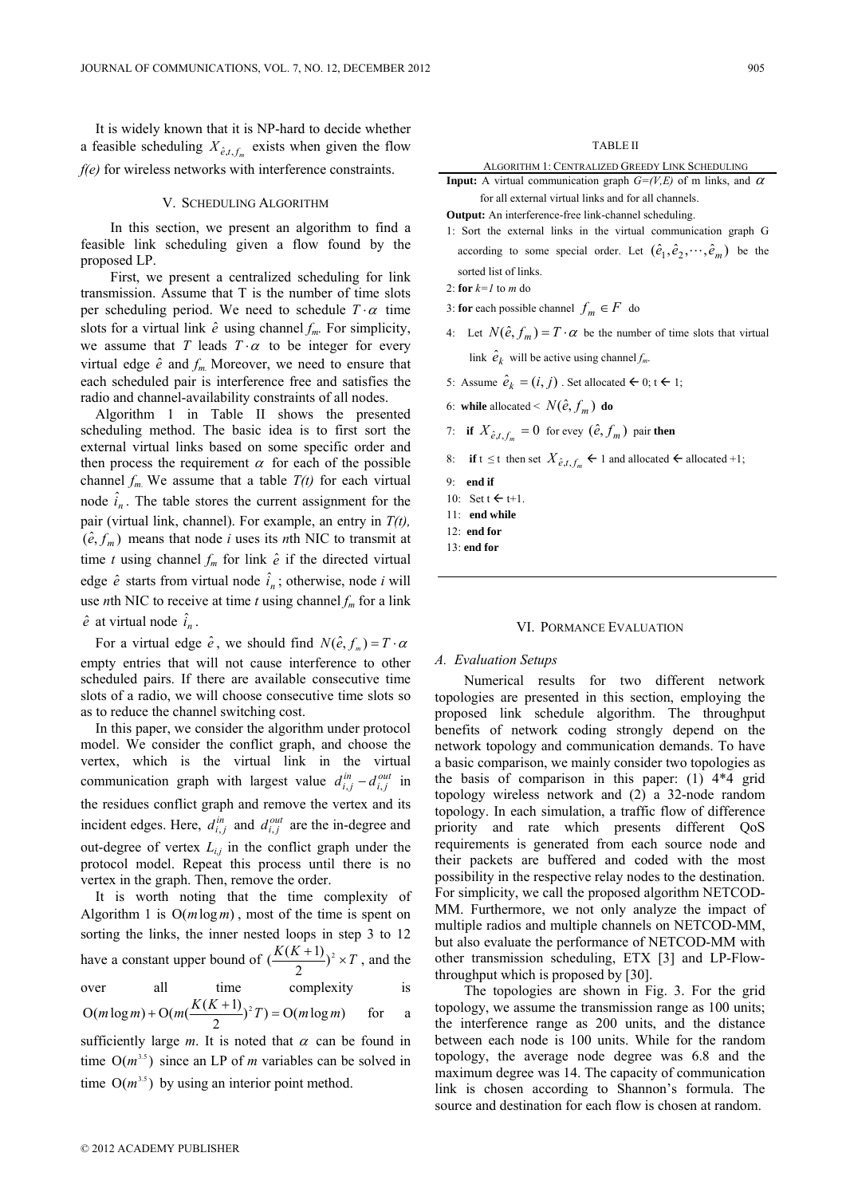It is widely known that it is NP-hard to decide whether a feasible scheduling  $X_{\hat{e},t,f_m}$  exists when given the flow *f(e)* for wireless networks with interference constraints.

## V. SCHEDULING ALGORITHM

In this section, we present an algorithm to find a feasible link scheduling given a flow found by the proposed LP.

First, we present a centralized scheduling for link transmission. Assume that T is the number of time slots per scheduling period. We need to schedule  $T \cdot \alpha$  time slots for a virtual link  $\hat{e}$  using channel  $f_m$ . For simplicity, we assume that *T* leads  $T \cdot \alpha$  to be integer for every virtual edge  $\hat{e}$  and  $f_m$ . Moreover, we need to ensure that each scheduled pair is interference free and satisfies the radio and channel-availability constraints of all nodes.

Algorithm 1 in Table II shows the presented scheduling method. The basic idea is to first sort the external virtual links based on some specific order and then process the requirement  $\alpha$  for each of the possible channel  $f_m$ . We assume that a table  $T(t)$  for each virtual node  $\hat{i}_n$ . The table stores the current assignment for the pair (virtual link, channel). For example, an entry in *T(t),*  $(\hat{e}, f_m)$  means that node *i* uses its *n*th NIC to transmit at time *t* using channel  $f_m$  for link  $\hat{e}$  if the directed virtual edge  $\hat{e}$  starts from virtual node  $\hat{i}_n$ ; otherwise, node *i* will use *n*th NIC to receive at time *t* using channel  $f_m$  for a link  $\hat{e}$  at virtual node  $\hat{i}_n$ .

For a virtual edge  $\hat{e}$ , we should find  $N(\hat{e}, f_m) = T \cdot \alpha$ empty entries that will not cause interference to other scheduled pairs. If there are available consecutive time slots of a radio, we will choose consecutive time slots so as to reduce the channel switching cost.

In this paper, we consider the algorithm under protocol model. We consider the conflict graph, and choose the vertex, which is the virtual link in the virtual communication graph with largest value  $d_{i,j}^{in} - d_{i,j}^{out}$  in the residues conflict graph and remove the vertex and its incident edges. Here,  $d_{i,j}^{in}$  and  $d_{i,j}^{out}$  are the in-degree and out-degree of vertex  $L_{ij}$  in the conflict graph under the protocol model. Repeat this process until there is no vertex in the graph. Then, remove the order.

It is worth noting that the time complexity of Algorithm 1 is Ο(*m*log*m*) , most of the time is spent on sorting the links, the inner nested loops in step 3 to 12 have a constant upper bound of  $\left(\frac{K(K+1)}{2}\right)^2 \times T$ , and the

over all time complexity is  
\n
$$
O(m \log m) + O(m(\frac{K(K+1)}{2})^2 T) = O(m \log m)
$$
 for a

sufficiently large  $m$ . It is noted that  $\alpha$  can be found in time  $O(m^{3.5})$  since an LP of *m* variables can be solved in time  $O(m^{3.5})$  by using an interior point method.

ALGORITHM 1: CENTRALIZED GREEDY LINK SCHEDULING

**Input:** A virtual communication graph  $G=(V,E)$  of m links, and  $\alpha$ for all external virtual links and for all channels.

**Output:** An interference-free link-channel scheduling.

1: Sort the external links in the virtual communication graph G according to some special order. Let  $(\hat{e}_1, \hat{e}_2, \dots, \hat{e}_m)$  be the sorted list of links.

2: **for** *k=1* to *m* do

- 3: **for** each possible channel  $f_m \in F$  do
- 4: Let  $N(\hat{e}, f_m) = T \cdot \alpha$  be the number of time slots that virtual link  $\hat{e}_k$  will be active using channel  $f_m$ .

5: Assume  $\hat{e}_k = (i, j)$ . Set allocated  $\Leftarrow$  0; t  $\Leftarrow$  1;

- 6: **while** allocated  $\leq N(\hat{e}, f_m)$  **do**
- 7: **if**  $X_{\hat{e},t,f_m} = 0$  for evey  $(\hat{e}, f_m)$  pair **then**
- 8: **if**  $t \le t$  then set  $X_{\hat{e},t,f_m} \leftarrow 1$  and allocated  $\leftarrow$  allocated  $+1$ ;
- 9: **end if**
- 10: Set  $t \leftarrow t+1$ .
- 11: **end while**
- 12: **end for**
- 13: **end for**

## VI. PORMANCE EVALUATION

#### *A. Evaluation Setups*

Numerical results for two different network topologies are presented in this section, employing the proposed link schedule algorithm. The throughput benefits of network coding strongly depend on the network topology and communication demands. To have a basic comparison, we mainly consider two topologies as the basis of comparison in this paper: (1) 4\*4 grid topology wireless network and (2) a 32-node random topology. In each simulation, a traffic flow of difference priority and rate which presents different QoS requirements is generated from each source node and their packets are buffered and coded with the most possibility in the respective relay nodes to the destination. For simplicity, we call the proposed algorithm NETCOD-MM. Furthermore, we not only analyze the impact of multiple radios and multiple channels on NETCOD-MM, but also evaluate the performance of NETCOD-MM with other transmission scheduling, ETX [3] and LP-Flowthroughput which is proposed by [30].

The topologies are shown in Fig. 3. For the grid topology, we assume the transmission range as 100 units; the interference range as 200 units, and the distance between each node is 100 units. While for the random topology, the average node degree was 6.8 and the maximum degree was 14. The capacity of communication link is chosen according to Shannon's formula. The source and destination for each flow is chosen at random.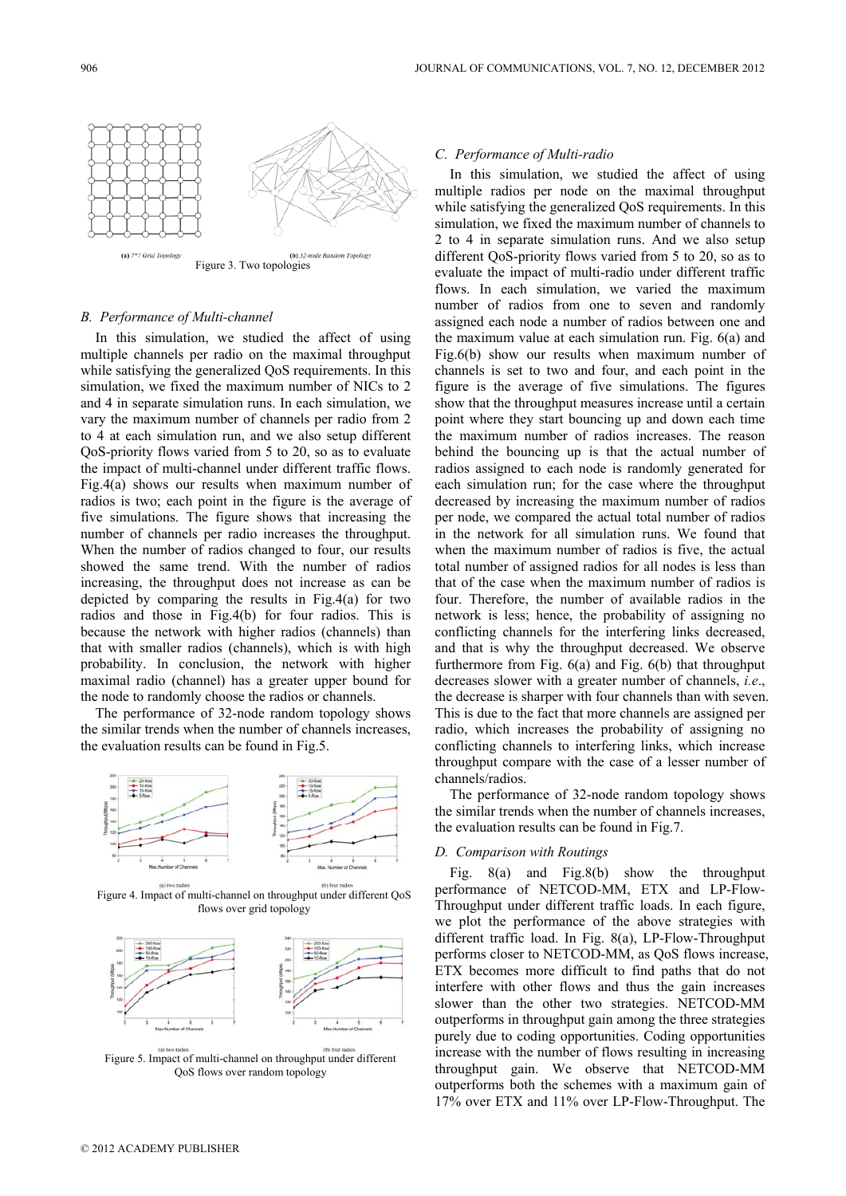

# *B. Performance of Multi-channel*

In this simulation, we studied the affect of using multiple channels per radio on the maximal throughput while satisfying the generalized QoS requirements. In this simulation, we fixed the maximum number of NICs to 2 and 4 in separate simulation runs. In each simulation, we vary the maximum number of channels per radio from 2 to 4 at each simulation run, and we also setup different QoS-priority flows varied from 5 to 20, so as to evaluate the impact of multi-channel under different traffic flows. Fig.4(a) shows our results when maximum number of radios is two; each point in the figure is the average of five simulations. The figure shows that increasing the number of channels per radio increases the throughput. When the number of radios changed to four, our results showed the same trend. With the number of radios increasing, the throughput does not increase as can be depicted by comparing the results in Fig.4(a) for two radios and those in Fig.4(b) for four radios. This is because the network with higher radios (channels) than that with smaller radios (channels), which is with high probability. In conclusion, the network with higher maximal radio (channel) has a greater upper bound for the node to randomly choose the radios or channels.

The performance of 32-node random topology shows the similar trends when the number of channels increases, the evaluation results can be found in Fig.5.



Figure 4. Impact of multi-channel on throughput under different QoS flows over grid topology



Figure 5. Impact of multi-channel on throughput under different QoS flows over random topology

## *C. Performance of Multi-radio*

In this simulation, we studied the affect of using multiple radios per node on the maximal throughput while satisfying the generalized QoS requirements. In this simulation, we fixed the maximum number of channels to 2 to 4 in separate simulation runs. And we also setup different QoS-priority flows varied from 5 to 20, so as to evaluate the impact of multi-radio under different traffic flows. In each simulation, we varied the maximum number of radios from one to seven and randomly assigned each node a number of radios between one and the maximum value at each simulation run. Fig. 6(a) and Fig.6(b) show our results when maximum number of channels is set to two and four, and each point in the figure is the average of five simulations. The figures show that the throughput measures increase until a certain point where they start bouncing up and down each time the maximum number of radios increases. The reason behind the bouncing up is that the actual number of radios assigned to each node is randomly generated for each simulation run; for the case where the throughput decreased by increasing the maximum number of radios per node, we compared the actual total number of radios in the network for all simulation runs. We found that when the maximum number of radios is five, the actual total number of assigned radios for all nodes is less than that of the case when the maximum number of radios is four. Therefore, the number of available radios in the network is less; hence, the probability of assigning no conflicting channels for the interfering links decreased, and that is why the throughput decreased. We observe furthermore from Fig. 6(a) and Fig. 6(b) that throughput decreases slower with a greater number of channels, *i.e*., the decrease is sharper with four channels than with seven. This is due to the fact that more channels are assigned per radio, which increases the probability of assigning no conflicting channels to interfering links, which increase throughput compare with the case of a lesser number of channels/radios.

The performance of 32-node random topology shows the similar trends when the number of channels increases, the evaluation results can be found in Fig.7.

## *D. Comparison with Routings*

Fig. 8(a) and Fig.8(b) show the throughput performance of NETCOD-MM, ETX and LP-Flow-Throughput under different traffic loads. In each figure, we plot the performance of the above strategies with different traffic load. In Fig. 8(a), LP-Flow-Throughput performs closer to NETCOD-MM, as QoS flows increase, ETX becomes more difficult to find paths that do not interfere with other flows and thus the gain increases slower than the other two strategies. NETCOD-MM outperforms in throughput gain among the three strategies purely due to coding opportunities. Coding opportunities increase with the number of flows resulting in increasing throughput gain. We observe that NETCOD-MM outperforms both the schemes with a maximum gain of 17% over ETX and 11% over LP-Flow-Throughput. The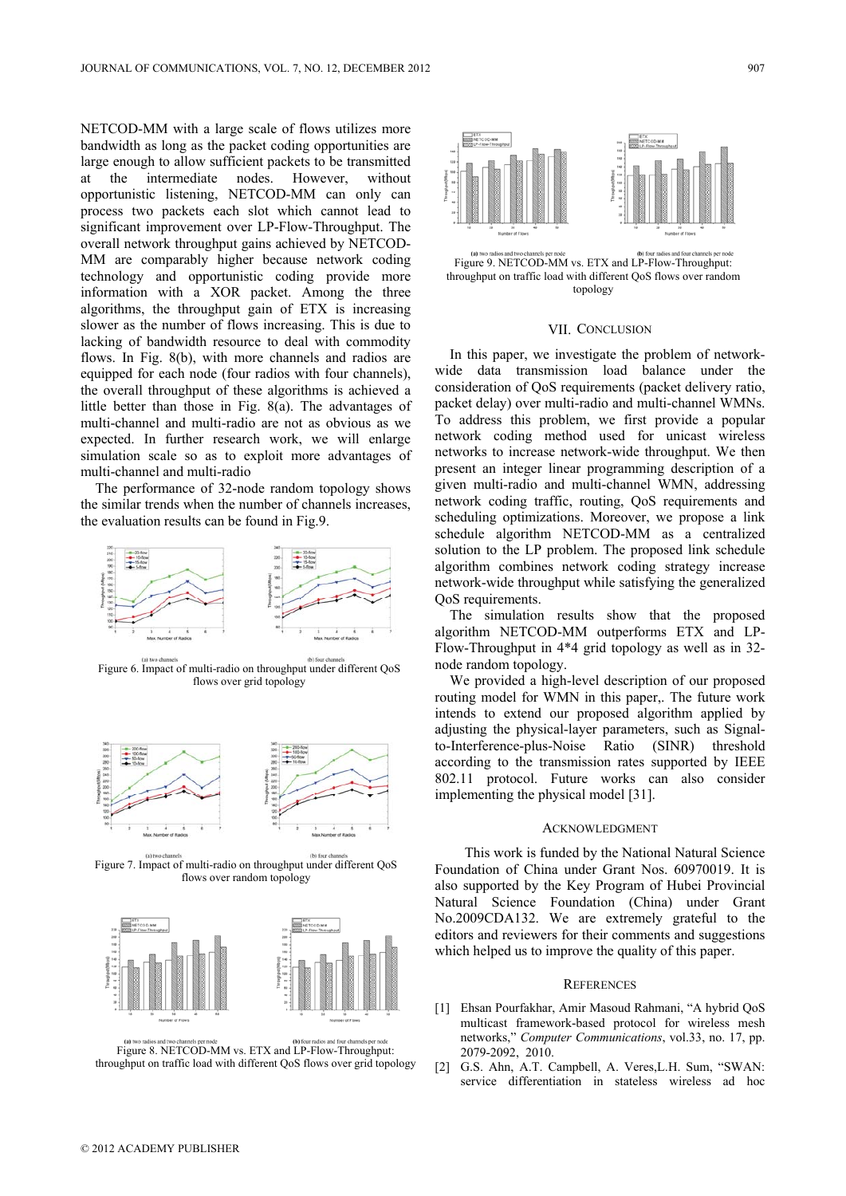NETCOD-MM with a large scale of flows utilizes more bandwidth as long as the packet coding opportunities are large enough to allow sufficient packets to be transmitted at the intermediate nodes. However, without opportunistic listening, NETCOD-MM can only can process two packets each slot which cannot lead to significant improvement over LP-Flow-Throughput. The overall network throughput gains achieved by NETCOD-MM are comparably higher because network coding technology and opportunistic coding provide more information with a XOR packet. Among the three algorithms, the throughput gain of ETX is increasing slower as the number of flows increasing. This is due to lacking of bandwidth resource to deal with commodity flows. In Fig. 8(b), with more channels and radios are equipped for each node (four radios with four channels), the overall throughput of these algorithms is achieved a little better than those in Fig. 8(a). The advantages of multi-channel and multi-radio are not as obvious as we expected. In further research work, we will enlarge simulation scale so as to exploit more advantages of multi-channel and multi-radio

The performance of 32-node random topology shows the similar trends when the number of channels increases, the evaluation results can be found in Fig.9.



Figure 6. Impact of multi-radio on throughput under different QoS flows over grid topology



Figure 7. Impact of multi-radio on throughput under different QoS flows over random topology



Figure 8. NETCOD-MM vs. ETX and LP-Flow-Throughput: throughput on traffic load with different QoS flows over grid topology



#### VII. CONCLUSION

In this paper, we investigate the problem of networkwide data transmission load balance under the consideration of QoS requirements (packet delivery ratio, packet delay) over multi-radio and multi-channel WMNs. To address this problem, we first provide a popular network coding method used for unicast wireless networks to increase network-wide throughput. We then present an integer linear programming description of a given multi-radio and multi-channel WMN, addressing network coding traffic, routing, QoS requirements and scheduling optimizations. Moreover, we propose a link schedule algorithm NETCOD-MM as a centralized solution to the LP problem. The proposed link schedule algorithm combines network coding strategy increase network-wide throughput while satisfying the generalized QoS requirements.

The simulation results show that the proposed algorithm NETCOD-MM outperforms ETX and LP-Flow-Throughput in 4\*4 grid topology as well as in 32 node random topology.

We provided a high-level description of our proposed routing model for WMN in this paper,. The future work intends to extend our proposed algorithm applied by adjusting the physical-layer parameters, such as Signalto-Interference-plus-Noise Ratio (SINR) threshold according to the transmission rates supported by IEEE 802.11 protocol. Future works can also consider implementing the physical model [31].

## ACKNOWLEDGMENT

This work is funded by the National Natural Science Foundation of China under Grant Nos. 60970019. It is also supported by the Key Program of Hubei Provincial Natural Science Foundation (China) under Grant No.2009CDA132. We are extremely grateful to the editors and reviewers for their comments and suggestions which helped us to improve the quality of this paper.

#### **REFERENCES**

- [1] Ehsan Pourfakhar, Amir Masoud Rahmani, "A hybrid QoS multicast framework-based protocol for wireless mesh networks," *Computer Communications*, vol.33, no. 17, pp. 2079-2092, 2010.
- [2] G.S. Ahn, A.T. Campbell, A. Veres,L.H. Sum, "SWAN: service differentiation in stateless wireless ad hoc